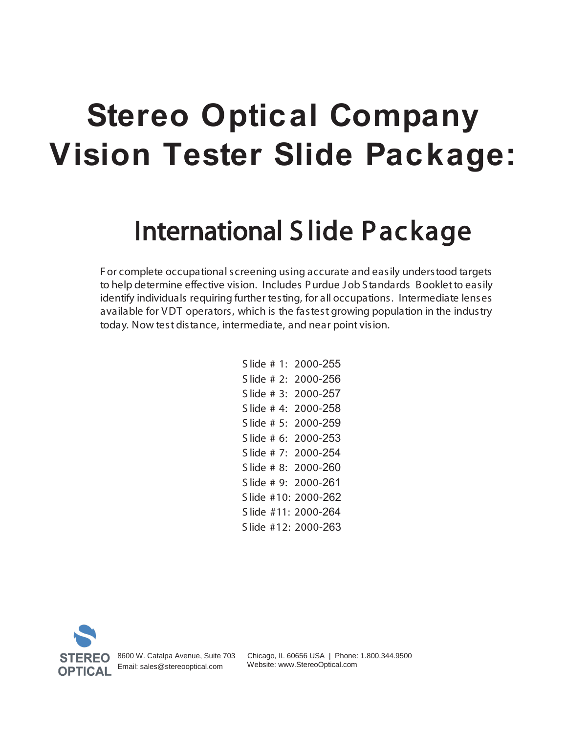# **Stereo Optical Company Vision Tester Slide Package:**

## International S lide Package

F or complete occupational screening using accurate and easily understood targets to help determine effective vision. Includes P urdue J ob Standards B ooklet to easily identify individuals requiring further testing, for all occupations. Intermediate lenses available for VDT operators, which is the fastest growing population in the industry today. Now test distance, intermediate, and near point vision.

> S lide # 1: 2000-255 S lide # 2: 2000-256 S lide # 3: 2000-257 S lide # 4: 2000-258 S lide # 5: 2000-259 S lide # 6: 2000-253 S lide # 7: 2000-254 S lide # 8: 2000-260 S lide # 9: 2000-261 S lide #10: 2000-262 S lide #11: 2000-264 S lide #12: 2000-263



8600 W. Catalpa Avenue, Suite 703 Email: sales@stereooptical.com

 Chicago, IL 60656 USA | Phone: 1.800.344.9500 Website: www.StereoOptical.com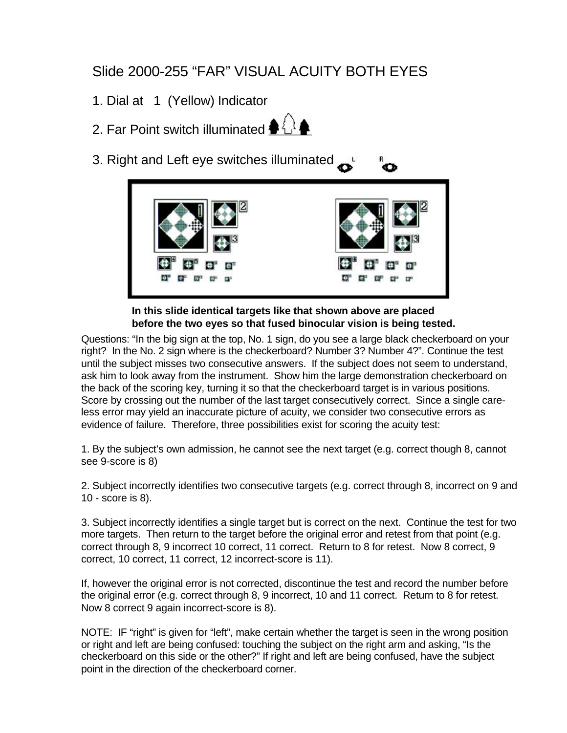#### Slide 2000-255 "FAR" VISUAL ACUITY BOTH EYES

- 1. Dial at 1 (Yellow) Indicator
- 2. Far Point switch illuminated  $\clubsuit \overset{\triangle}{\downarrow}$
- 3. Right and Left eye switches illuminated



#### **In this slide identical targets like that shown above are placed before the two eyes so that fused binocular vision is being tested.**

Questions: "In the big sign at the top, No. 1 sign, do you see a large black checkerboard on your right? In the No. 2 sign where is the checkerboard? Number 3? Number 4?". Continue the test until the subject misses two consecutive answers. If the subject does not seem to understand, ask him to look away from the instrument. Show him the large demonstration checkerboard on the back of the scoring key, turning it so that the checkerboard target is in various positions. Score by crossing out the number of the last target consecutively correct. Since a single careless error may yield an inaccurate picture of acuity, we consider two consecutive errors as evidence of failure. Therefore, three possibilities exist for scoring the acuity test:

1. By the subject's own admission, he cannot see the next target (e.g. correct though 8, cannot see 9-score is 8)

2. Subject incorrectly identifies two consecutive targets (e.g. correct through 8, incorrect on 9 and 10 - score is 8).

3. Subject incorrectly identifies a single target but is correct on the next. Continue the test for two more targets. Then return to the target before the original error and retest from that point (e.g. correct through 8, 9 incorrect 10 correct, 11 correct. Return to 8 for retest. Now 8 correct, 9 correct, 10 correct, 11 correct, 12 incorrect-score is 11).

If, however the original error is not corrected, discontinue the test and record the number before the original error (e.g. correct through 8, 9 incorrect, 10 and 11 correct. Return to 8 for retest. Now 8 correct 9 again incorrect-score is 8).

NOTE: IF "right" is given for "left", make certain whether the target is seen in the wrong position or right and left are being confused: touching the subject on the right arm and asking, "Is the checkerboard on this side or the other?" If right and left are being confused, have the subject point in the direction of the checkerboard corner.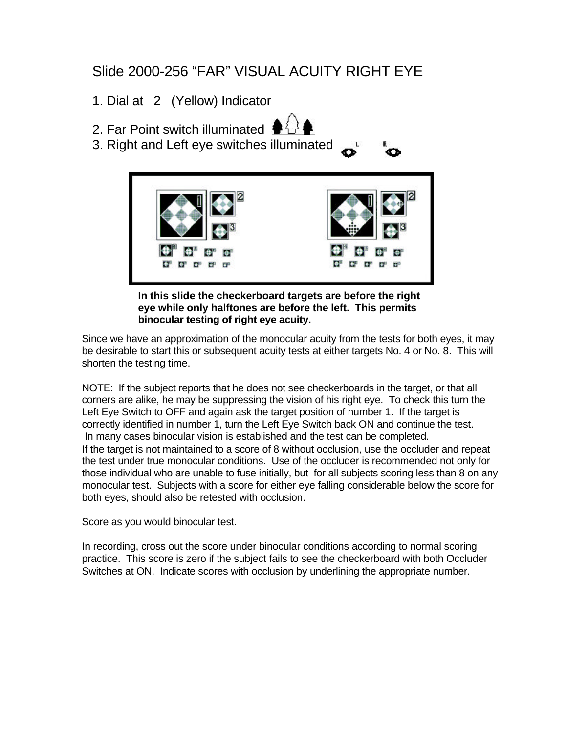#### Slide 2000-256 "FAR" VISUAL ACUITY RIGHT EYE

1. Dial at 2 (Yellow) Indicator

- 2. Far Point switch illuminated
- 3. Right and Left eye switches illuminated



**In this slide the checkerboard targets are before the right eye while only halftones are before the left. This permits binocular testing of right eye acuity.**

Since we have an approximation of the monocular acuity from the tests for both eyes, it may be desirable to start this or subsequent acuity tests at either targets No. 4 or No. 8. This will shorten the testing time.

NOTE: If the subject reports that he does not see checkerboards in the target, or that all corners are alike, he may be suppressing the vision of his right eye. To check this turn the Left Eye Switch to OFF and again ask the target position of number 1. If the target is correctly identified in number 1, turn the Left Eye Switch back ON and continue the test. In many cases binocular vision is established and the test can be completed. If the target is not maintained to a score of 8 without occlusion, use the occluder and repeat the test under true monocular conditions. Use of the occluder is recommended not only for those individual who are unable to fuse initially, but for all subjects scoring less than 8 on any monocular test. Subjects with a score for either eye falling considerable below the score for both eyes, should also be retested with occlusion.

Score as you would binocular test.

In recording, cross out the score under binocular conditions according to normal scoring practice. This score is zero if the subject fails to see the checkerboard with both Occluder Switches at ON. Indicate scores with occlusion by underlining the appropriate number.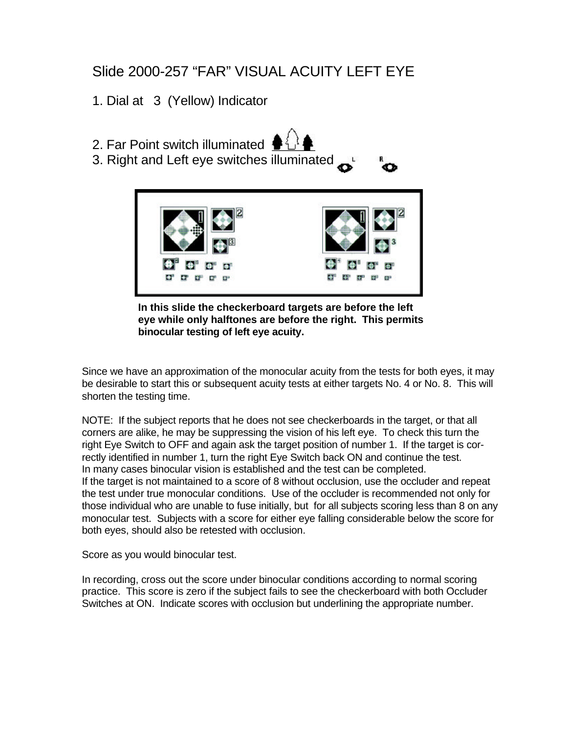#### Slide 2000-257 "FAR" VISUAL ACUITY LEFT EYE

1. Dial at 3 (Yellow) Indicator

2. Far Point switch illuminated 3. Right and Left eye switches illuminated

**In this slide the checkerboard targets are before the left eye while only halftones are before the right. This permits binocular testing of left eye acuity.**

Since we have an approximation of the monocular acuity from the tests for both eyes, it may be desirable to start this or subsequent acuity tests at either targets No. 4 or No. 8. This will shorten the testing time.

NOTE: If the subject reports that he does not see checkerboards in the target, or that all corners are alike, he may be suppressing the vision of his left eye. To check this turn the right Eye Switch to OFF and again ask the target position of number 1. If the target is correctly identified in number 1, turn the right Eye Switch back ON and continue the test. In many cases binocular vision is established and the test can be completed. If the target is not maintained to a score of 8 without occlusion, use the occluder and repeat the test under true monocular conditions. Use of the occluder is recommended not only for those individual who are unable to fuse initially, but for all subjects scoring less than 8 on any monocular test. Subjects with a score for either eye falling considerable below the score for both eyes, should also be retested with occlusion.

Score as you would binocular test.

In recording, cross out the score under binocular conditions according to normal scoring practice. This score is zero if the subject fails to see the checkerboard with both Occluder Switches at ON. Indicate scores with occlusion but underlining the appropriate number.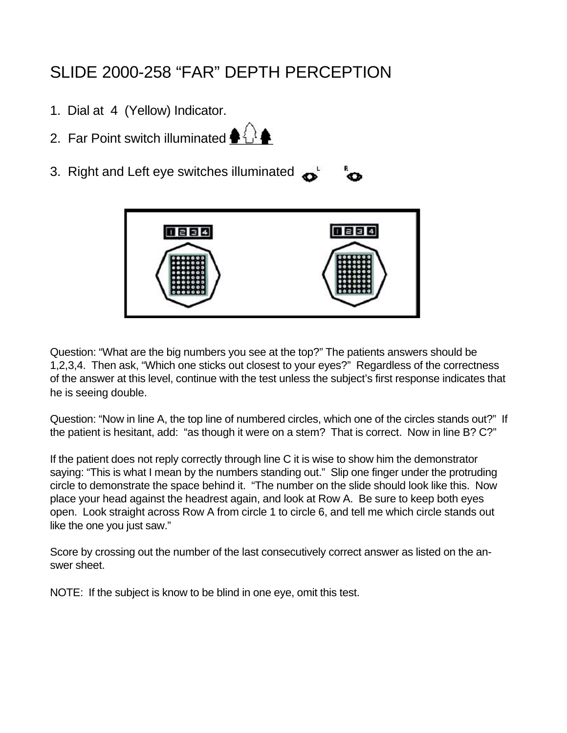## SLIDE 2000-258 "FAR" DEPTH PERCEPTION

- 1. Dial at 4 (Yellow) Indicator.
- 2. Far Point switch illuminated  $\bigoplus_{i=1}^n$
- 3. Right and Left eye switches illuminated



Question: "What are the big numbers you see at the top?" The patients answers should be 1,2,3,4. Then ask, "Which one sticks out closest to your eyes?" Regardless of the correctness of the answer at this level, continue with the test unless the subject's first response indicates that he is seeing double.

Question: "Now in line A, the top line of numbered circles, which one of the circles stands out?" If the patient is hesitant, add: "as though it were on a stem? That is correct. Now in line B? C?"

If the patient does not reply correctly through line C it is wise to show him the demonstrator saying: "This is what I mean by the numbers standing out." Slip one finger under the protruding circle to demonstrate the space behind it. "The number on the slide should look like this. Now place your head against the headrest again, and look at Row A. Be sure to keep both eyes open. Look straight across Row A from circle 1 to circle 6, and tell me which circle stands out like the one you just saw."

Score by crossing out the number of the last consecutively correct answer as listed on the answer sheet.

NOTE: If the subject is know to be blind in one eye, omit this test.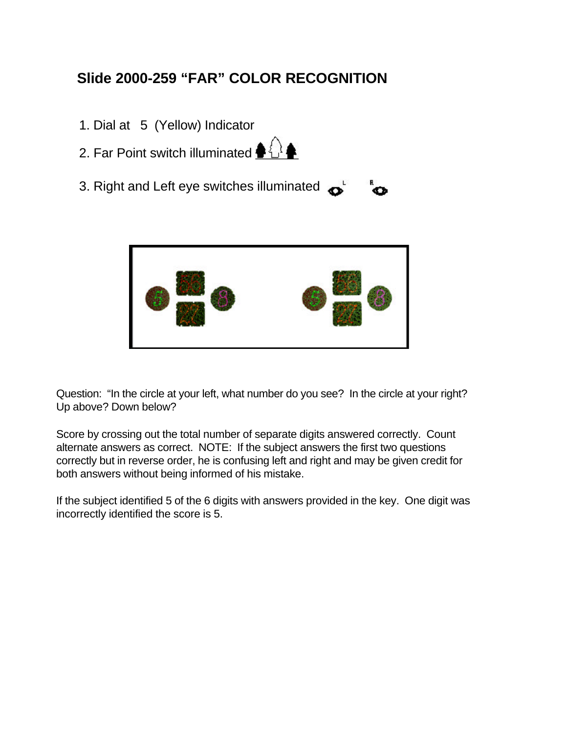### **Slide 2000-259 "FAR" COLOR RECOGNITION**

- 1. Dial at 5 (Yellow) Indicator
- 2. Far Point switch illuminated  $\clubsuit \overset{1}{\leftrightarrow} \overset{1}{\leftrightarrow}$
- 3. Right and Left eye switches illuminated  $\mathbf{\Omega}^{\perp}$



Question: "In the circle at your left, what number do you see? In the circle at your right? Up above? Down below?

Score by crossing out the total number of separate digits answered correctly. Count alternate answers as correct. NOTE: If the subject answers the first two questions correctly but in reverse order, he is confusing left and right and may be given credit for both answers without being informed of his mistake.

If the subject identified 5 of the 6 digits with answers provided in the key. One digit was incorrectly identified the score is 5.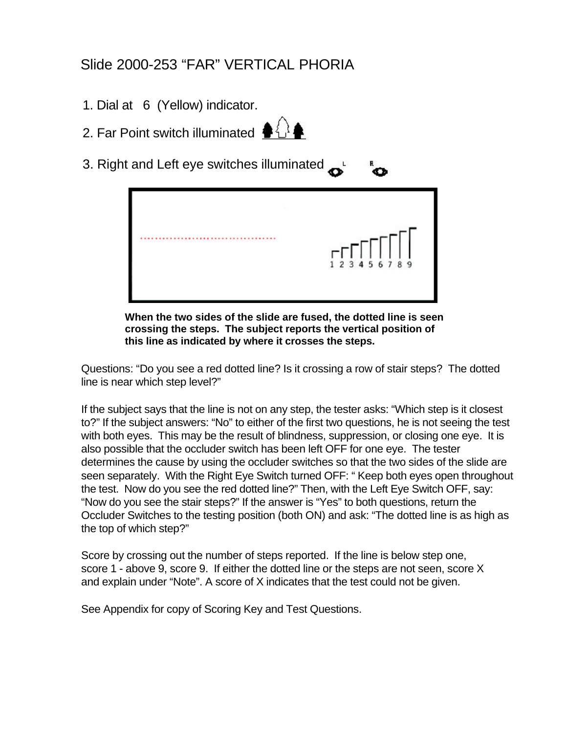#### Slide 2000-253 "FAR" VERTICAL PHORIA

- 1. Dial at 6 (Yellow) indicator.
- 2. Far Point switch illuminated  $\bigoplus_{i=1}^{n}$
- 3. Right and Left eye switches illuminated



æ.

**When the two sides of the slide are fused, the dotted line is seen crossing the steps. The subject reports the vertical position of this line as indicated by where it crosses the steps.**

Questions: "Do you see a red dotted line? Is it crossing a row of stair steps? The dotted line is near which step level?"

If the subject says that the line is not on any step, the tester asks: "Which step is it closest to?" If the subject answers: "No" to either of the first two questions, he is not seeing the test with both eyes. This may be the result of blindness, suppression, or closing one eye. It is also possible that the occluder switch has been left OFF for one eye. The tester determines the cause by using the occluder switches so that the two sides of the slide are seen separately. With the Right Eye Switch turned OFF: " Keep both eyes open throughout the test. Now do you see the red dotted line?" Then, with the Left Eye Switch OFF, say: "Now do you see the stair steps?" If the answer is "Yes" to both questions, return the Occluder Switches to the testing position (both ON) and ask: "The dotted line is as high as the top of which step?"

Score by crossing out the number of steps reported. If the line is below step one, score 1 - above 9, score 9. If either the dotted line or the steps are not seen, score X and explain under "Note". A score of X indicates that the test could not be given.

See Appendix for copy of Scoring Key and Test Questions.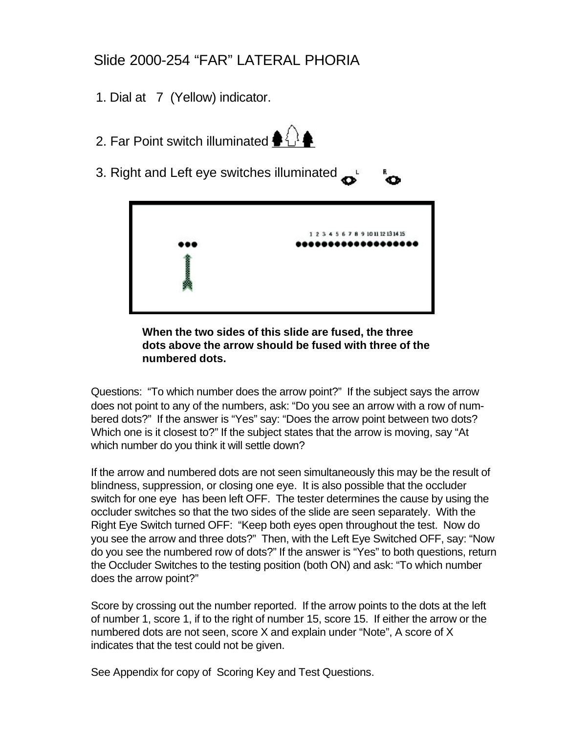#### Slide 2000-254 "FAR" LATERAL PHORIA

- 1. Dial at 7 (Yellow) indicator.
- 2. Far Point switch illuminated  $\langle \rangle$
- 3. Right and Left eye switches illuminated



#### **When the two sides of this slide are fused, the three dots above the arrow should be fused with three of the numbered dots.**

Questions: "To which number does the arrow point?" If the subject says the arrow does not point to any of the numbers, ask: "Do you see an arrow with a row of numbered dots?" If the answer is "Yes" say: "Does the arrow point between two dots? Which one is it closest to?" If the subject states that the arrow is moving, say "At which number do you think it will settle down?

If the arrow and numbered dots are not seen simultaneously this may be the result of blindness, suppression, or closing one eye. It is also possible that the occluder switch for one eye has been left OFF. The tester determines the cause by using the occluder switches so that the two sides of the slide are seen separately. With the Right Eye Switch turned OFF: "Keep both eyes open throughout the test. Now do you see the arrow and three dots?" Then, with the Left Eye Switched OFF, say: "Now do you see the numbered row of dots?" If the answer is "Yes" to both questions, return the Occluder Switches to the testing position (both ON) and ask: "To which number does the arrow point?"

Score by crossing out the number reported. If the arrow points to the dots at the left of number 1, score 1, if to the right of number 15, score 15. If either the arrow or the numbered dots are not seen, score X and explain under "Note", A score of X indicates that the test could not be given.

See Appendix for copy of Scoring Key and Test Questions.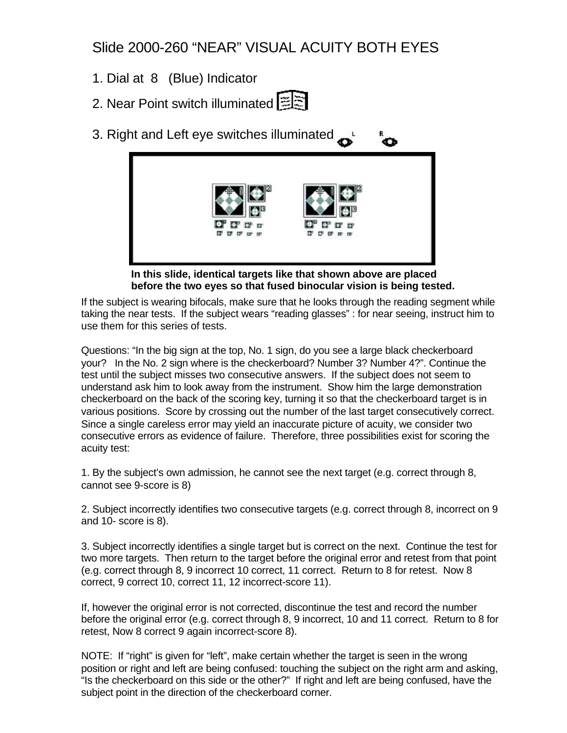Slide 2000-260 "NEAR" VISUAL ACUITY BOTH EYES

- 1. Dial at 8 (Blue) Indicator
- 2. Near Point switch illuminated [当
- 3. Right and Left eye switches illuminated Ö



**In this slide, identical targets like that shown above are placed before the two eyes so that fused binocular vision is being tested.**

If the subject is wearing bifocals, make sure that he looks through the reading segment while taking the near tests. If the subject wears "reading glasses" : for near seeing, instruct him to use them for this series of tests.

Questions: "In the big sign at the top, No. 1 sign, do you see a large black checkerboard your? In the No. 2 sign where is the checkerboard? Number 3? Number 4?". Continue the test until the subject misses two consecutive answers. If the subject does not seem to understand ask him to look away from the instrument. Show him the large demonstration checkerboard on the back of the scoring key, turning it so that the checkerboard target is in various positions. Score by crossing out the number of the last target consecutively correct. Since a single careless error may yield an inaccurate picture of acuity, we consider two consecutive errors as evidence of failure. Therefore, three possibilities exist for scoring the acuity test:

1. By the subject's own admission, he cannot see the next target (e.g. correct through 8, cannot see 9-score is 8)

2. Subject incorrectly identifies two consecutive targets (e.g. correct through 8, incorrect on 9 and 10- score is 8).

3. Subject incorrectly identifies a single target but is correct on the next. Continue the test for two more targets. Then return to the target before the original error and retest from that point (e.g. correct through 8, 9 incorrect 10 correct, 11 correct. Return to 8 for retest. Now 8 correct, 9 correct 10, correct 11, 12 incorrect-score 11).

If, however the original error is not corrected, discontinue the test and record the number before the original error (e.g. correct through 8, 9 incorrect, 10 and 11 correct. Return to 8 for retest, Now 8 correct 9 again incorrect-score 8).

NOTE: If "right" is given for "left", make certain whether the target is seen in the wrong position or right and left are being confused: touching the subject on the right arm and asking, "Is the checkerboard on this side or the other?" If right and left are being confused, have the subject point in the direction of the checkerboard corner.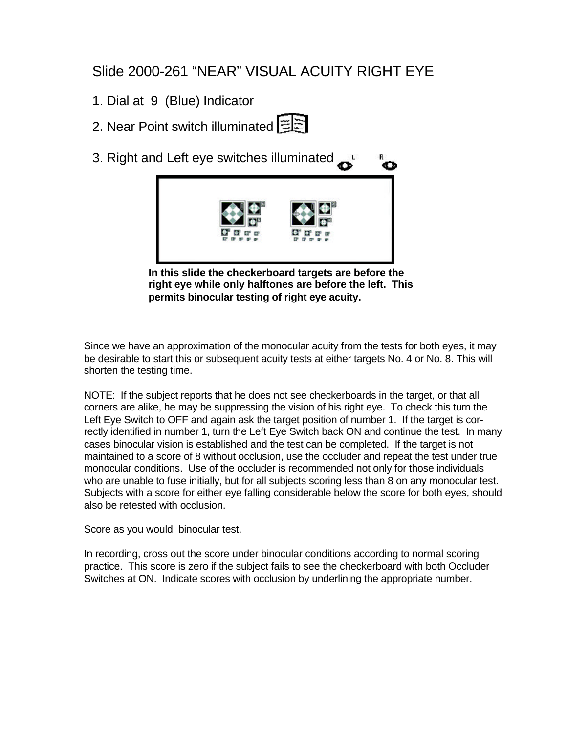#### Slide 2000-261 "NEAR" VISUAL ACUITY RIGHT EYE

- 1. Dial at 9 (Blue) Indicator
- 2. Near Point switch illuminated [三三
- 3. Right and Left eye switches illuminated Ō



**In this slide the checkerboard targets are before the right eye while only halftones are before the left. This permits binocular testing of right eye acuity.**

Since we have an approximation of the monocular acuity from the tests for both eyes, it may be desirable to start this or subsequent acuity tests at either targets No. 4 or No. 8. This will shorten the testing time.

NOTE: If the subject reports that he does not see checkerboards in the target, or that all corners are alike, he may be suppressing the vision of his right eye. To check this turn the Left Eye Switch to OFF and again ask the target position of number 1. If the target is correctly identified in number 1, turn the Left Eye Switch back ON and continue the test. In many cases binocular vision is established and the test can be completed. If the target is not maintained to a score of 8 without occlusion, use the occluder and repeat the test under true monocular conditions. Use of the occluder is recommended not only for those individuals who are unable to fuse initially, but for all subjects scoring less than 8 on any monocular test. Subjects with a score for either eye falling considerable below the score for both eyes, should also be retested with occlusion.

Score as you would binocular test.

In recording, cross out the score under binocular conditions according to normal scoring practice. This score is zero if the subject fails to see the checkerboard with both Occluder Switches at ON. Indicate scores with occlusion by underlining the appropriate number.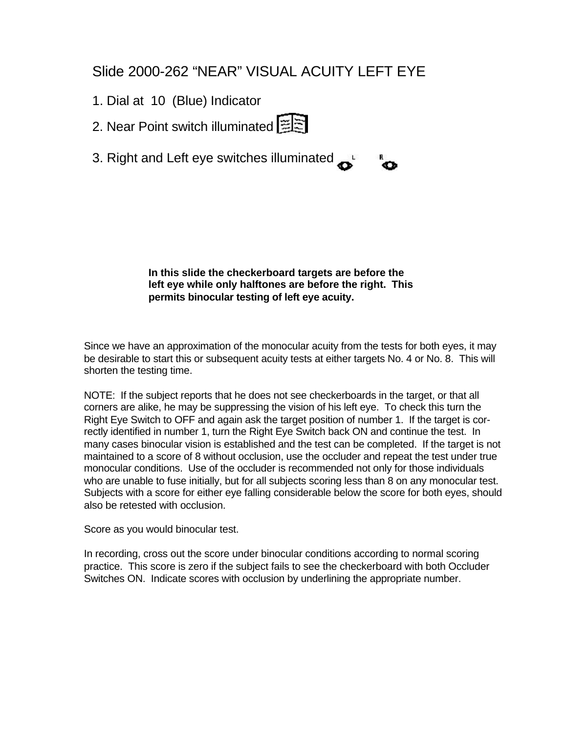#### Slide 2000-262 "NEAR" VISUAL ACUITY LEFT EYE

- 1. Dial at 10 (Blue) Indicator
- 2. Near Point switch illuminated 三三
- 3. Right and Left eye switches illuminated

**In this slide the checkerboard targets are before the left eye while only halftones are before the right. This permits binocular testing of left eye acuity.**

ໍ

Since we have an approximation of the monocular acuity from the tests for both eyes, it may be desirable to start this or subsequent acuity tests at either targets No. 4 or No. 8. This will shorten the testing time.

NOTE: If the subject reports that he does not see checkerboards in the target, or that all corners are alike, he may be suppressing the vision of his left eye. To check this turn the Right Eye Switch to OFF and again ask the target position of number 1. If the target is correctly identified in number 1, turn the Right Eye Switch back ON and continue the test. In many cases binocular vision is established and the test can be completed. If the target is not maintained to a score of 8 without occlusion, use the occluder and repeat the test under true monocular conditions. Use of the occluder is recommended not only for those individuals who are unable to fuse initially, but for all subjects scoring less than 8 on any monocular test. Subjects with a score for either eye falling considerable below the score for both eyes, should also be retested with occlusion.

Score as you would binocular test.

In recording, cross out the score under binocular conditions according to normal scoring practice. This score is zero if the subject fails to see the checkerboard with both Occluder Switches ON. Indicate scores with occlusion by underlining the appropriate number.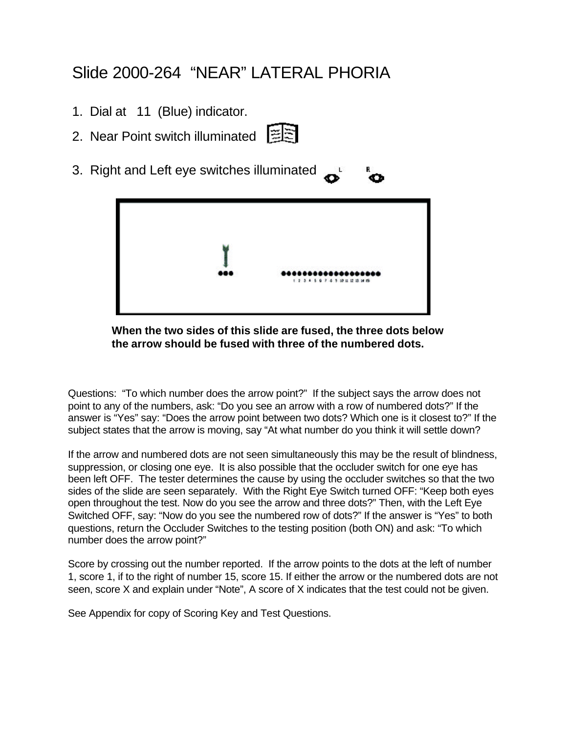## Slide 2000-264 "NEAR" LATERAL PHORIA

- 1. Dial at 11 (Blue) indicator.
- 2. Near Point switch illuminated 图
- 3. Right and Left eye switches illuminated



#### **When the two sides of this slide are fused, the three dots below the arrow should be fused with three of the numbered dots.**

Questions: "To which number does the arrow point?" If the subject says the arrow does not point to any of the numbers, ask: "Do you see an arrow with a row of numbered dots?" If the answer is "Yes" say: "Does the arrow point between two dots? Which one is it closest to?" If the subject states that the arrow is moving, say "At what number do you think it will settle down?

If the arrow and numbered dots are not seen simultaneously this may be the result of blindness, suppression, or closing one eye. It is also possible that the occluder switch for one eye has been left OFF. The tester determines the cause by using the occluder switches so that the two sides of the slide are seen separately. With the Right Eye Switch turned OFF: "Keep both eyes open throughout the test. Now do you see the arrow and three dots?" Then, with the Left Eye Switched OFF, say: "Now do you see the numbered row of dots?" If the answer is "Yes" to both questions, return the Occluder Switches to the testing position (both ON) and ask: "To which number does the arrow point?"

Score by crossing out the number reported. If the arrow points to the dots at the left of number 1, score 1, if to the right of number 15, score 15. If either the arrow or the numbered dots are not seen, score X and explain under "Note", A score of X indicates that the test could not be given.

See Appendix for copy of Scoring Key and Test Questions.